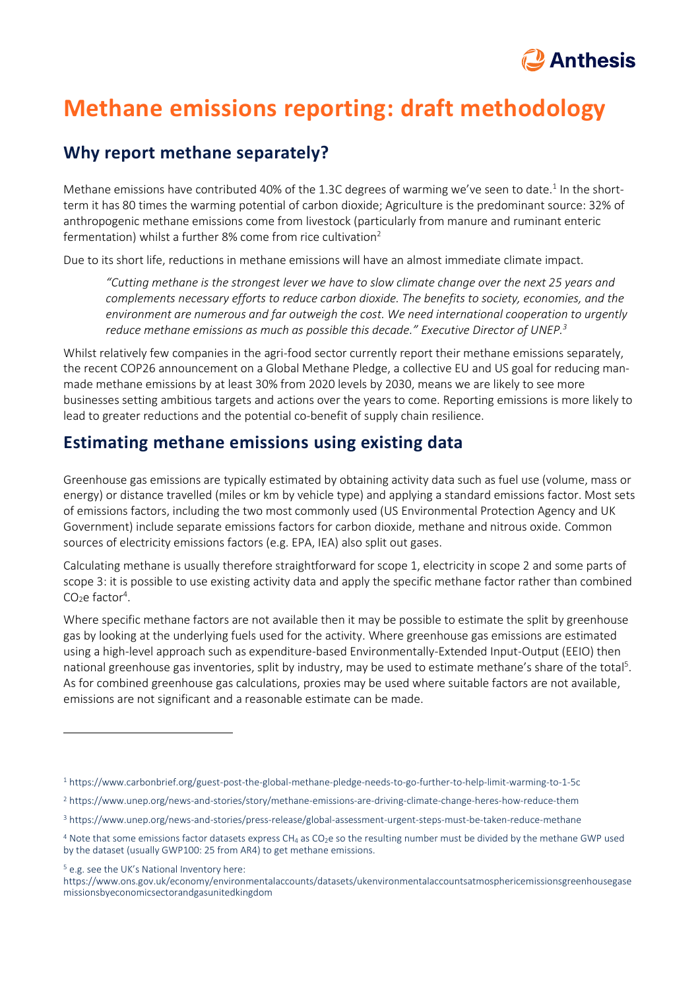

# **Methane emissions reporting: draft methodology**

#### **Why report methane separately?**

Methane emissions have contributed 40% of the 1.3C degrees of warming we've seen to date.<sup>1</sup> In the shortterm it has 80 times the warming potential of carbon dioxide; Agriculture is the predominant source: 32% of anthropogenic methane emissions come from livestock (particularly from manure and ruminant enteric fermentation) whilst a further 8% come from rice cultivation<sup>2</sup>

Due to its short life, reductions in methane emissions will have an almost immediate climate impact.

*"Cutting methane is the strongest lever we have to slow climate change over the next 25 years and complements necessary efforts to reduce carbon dioxide. The benefits to society, economies, and the environment are numerous and far outweigh the cost. We need international cooperation to urgently reduce methane emissions as much as possible this decade." Executive Director of UNEP.<sup>3</sup>*

Whilst relatively few companies in the agri-food sector currently report their methane emissions separately, the recent COP26 announcement on a Global Methane Pledge, a collective EU and US goal for reducing manmade methane emissions by at least 30% from 2020 levels by 2030, means we are likely to see more businesses setting ambitious targets and actions over the years to come. Reporting emissions is more likely to lead to greater reductions and the potential co-benefit of supply chain resilience.

### **Estimating methane emissions using existing data**

Greenhouse gas emissions are typically estimated by obtaining activity data such as fuel use (volume, mass or energy) or distance travelled (miles or km by vehicle type) and applying a standard emissions factor. Most sets of emissions factors, including the two most commonly used (US Environmental Protection Agency and UK Government) include separate emissions factors for carbon dioxide, methane and nitrous oxide. Common sources of electricity emissions factors (e.g. EPA, IEA) also split out gases.

Calculating methane is usually therefore straightforward for scope 1, electricity in scope 2 and some parts of scope 3: it is possible to use existing activity data and apply the specific methane factor rather than combined CO<sub>2</sub>e factor<sup>4</sup>.

Where specific methane factors are not available then it may be possible to estimate the split by greenhouse gas by looking at the underlying fuels used for the activity. Where greenhouse gas emissions are estimated using a high-level approach such as expenditure-based Environmentally-Extended Input-Output (EEIO) then national greenhouse gas inventories, split by industry, may be used to estimate methane's share of the total<sup>5</sup>. As for combined greenhouse gas calculations, proxies may be used where suitable factors are not available, emissions are not significant and a reasonable estimate can be made.

<sup>5</sup> e.g. see the UK's National Inventory here:

<sup>1</sup> https://www.carbonbrief.org/guest-post-the-global-methane-pledge-needs-to-go-further-to-help-limit-warming-to-1-5c

<sup>2</sup> https://www.unep.org/news-and-stories/story/methane-emissions-are-driving-climate-change-heres-how-reduce-them

<sup>3</sup> https://www.unep.org/news-and-stories/press-release/global-assessment-urgent-steps-must-be-taken-reduce-methane

 $4$  Note that some emissions factor datasets express CH<sub>4</sub> as CO<sub>2</sub>e so the resulting number must be divided by the methane GWP used by the dataset (usually GWP100: 25 from AR4) to get methane emissions.

https://www.ons.gov.uk/economy/environmentalaccounts/datasets/ukenvironmentalaccountsatmosphericemissionsgreenhousegase missionsbyeconomicsectorandgasunitedkingdom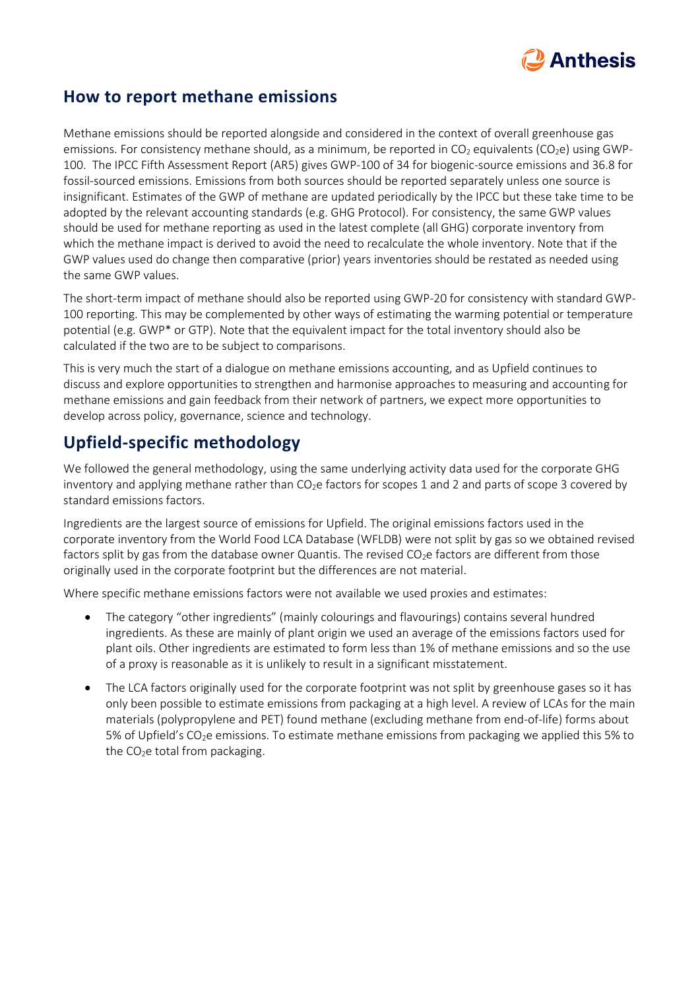

#### **How to report methane emissions**

Methane emissions should be reported alongside and considered in the context of overall greenhouse gas emissions. For consistency methane should, as a minimum, be reported in  $CO<sub>2</sub>$  equivalents (CO<sub>2</sub>e) using GWP-100. The IPCC Fifth Assessment Report (AR5) gives GWP-100 of 34 for biogenic-source emissions and 36.8 for fossil-sourced emissions. Emissions from both sources should be reported separately unless one source is insignificant. Estimates of the GWP of methane are updated periodically by the IPCC but these take time to be adopted by the relevant accounting standards (e.g. GHG Protocol). For consistency, the same GWP values should be used for methane reporting as used in the latest complete (all GHG) corporate inventory from which the methane impact is derived to avoid the need to recalculate the whole inventory. Note that if the GWP values used do change then comparative (prior) years inventories should be restated as needed using the same GWP values.

The short-term impact of methane should also be reported using GWP-20 for consistency with standard GWP-100 reporting. This may be complemented by other ways of estimating the warming potential or temperature potential (e.g. GWP\* or GTP). Note that the equivalent impact for the total inventory should also be calculated if the two are to be subject to comparisons.

This is very much the start of a dialogue on methane emissions accounting, and as Upfield continues to discuss and explore opportunities to strengthen and harmonise approaches to measuring and accounting for methane emissions and gain feedback from their network of partners, we expect more opportunities to develop across policy, governance, science and technology.

# **Upfield-specific methodology**

We followed the general methodology, using the same underlying activity data used for the corporate GHG inventory and applying methane rather than  $CO<sub>2</sub>e$  factors for scopes 1 and 2 and parts of scope 3 covered by standard emissions factors.

Ingredients are the largest source of emissions for Upfield. The original emissions factors used in the corporate inventory from the World Food LCA Database (WFLDB) were not split by gas so we obtained revised factors split by gas from the database owner Quantis. The revised  $CO_2e$  factors are different from those originally used in the corporate footprint but the differences are not material.

Where specific methane emissions factors were not available we used proxies and estimates:

- The category "other ingredients" (mainly colourings and flavourings) contains several hundred ingredients. As these are mainly of plant origin we used an average of the emissions factors used for plant oils. Other ingredients are estimated to form less than 1% of methane emissions and so the use of a proxy is reasonable as it is unlikely to result in a significant misstatement.
- The LCA factors originally used for the corporate footprint was not split by greenhouse gases so it has only been possible to estimate emissions from packaging at a high level. A review of LCAs for the main materials (polypropylene and PET) found methane (excluding methane from end-of-life) forms about 5% of Upfield's CO2e emissions. To estimate methane emissions from packaging we applied this 5% to the CO<sub>2</sub>e total from packaging.